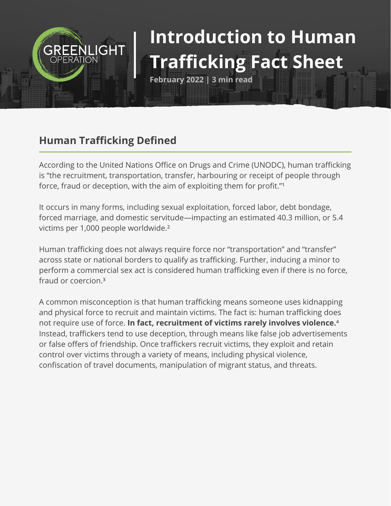# **Introduction to Human Trafficking Fact Sheet**

**February 2022 | 3 min read**

## **Human Trafficking Defined**

**GREENLIGHT** 

According to the United Nations Office on Drugs and Crime (UNODC), human trafficking is "the recruitment, transportation, transfer, harbouring or receipt of people through force, fraud or deception, with the aim of exploiting them for profit."<sup>1</sup>

It occurs in many forms, including sexual exploitation, forced labor, debt bondage, forced marriage, and domestic servitude—impacting an estimated 40.3 million, or 5.4 victims per 1,000 people worldwide.²

Human trafficking does not always require force nor "transportation" and "transfer" across state or national borders to qualify as trafficking. Further, inducing a minor to perform a commercial sex act is considered human trafficking even if there is no force, fraud or coercion.³

A common misconception is that human trafficking means someone uses kidnapping and physical force to recruit and maintain victims. The fact is: human trafficking does not require use of force. In fact, recruitment of victims rarely involves violence.<sup>4</sup> Instead, traffickers tend to use deception, through means like false job advertisements or false offers of friendship. Once traffickers recruit victims, they exploit and retain control over victims through a variety of means, including physical violence, confiscation of travel documents, manipulation of migrant status, and threats.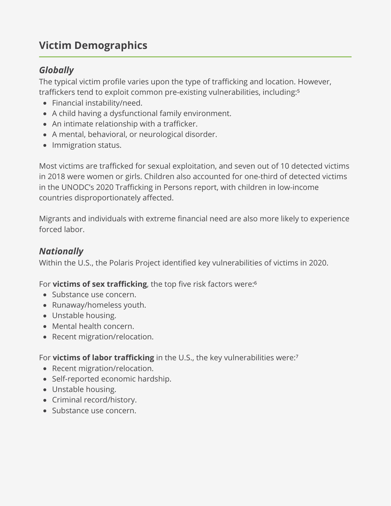## **Victim Demographics**

#### *Globally*

The typical victim profile varies upon the type of trafficking and location. However, traffickers tend to exploit common pre-existing vulnerabilities, including:<sup>5</sup>

- Financial instability/need.
- A child having a dysfunctional family environment.
- An intimate relationship with a trafficker.
- A mental, behavioral, or neurological disorder.
- Immigration status.

Most victims are trafficked for sexual exploitation, and seven out of 10 detected victims in 2018 were women or girls. Children also accounted for one-third of detected victims in the UNODC's 2020 Trafficking in Persons report, with children in low-income countries disproportionately affected.

Migrants and individuals with extreme financial need are also more likely to experience forced labor.

#### *Nationally*

Within the U.S., the Polaris Project identified key vulnerabilities of victims in 2020.

For **victims of sex trafficking**, the top five risk factors were:<sup>6</sup>

- Substance use concern.
- Runaway/homeless youth.
- Unstable housing.
- Mental health concern.
- Recent migration/relocation.

For **victims of labor trafficking** in the U.S., the key vulnerabilities were:<sup>7</sup>

- Recent migration/relocation.
- Self-reported economic hardship.
- Unstable housing.
- Criminal record/history.
- Substance use concern.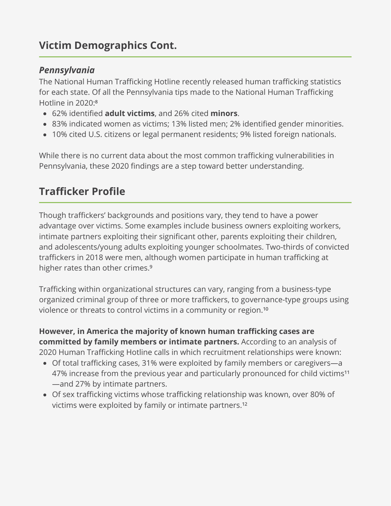## **Victim Demographics Cont.**

#### *Pennsylvania*

The National Human Trafficking Hotline recently released human trafficking statistics for each state. Of all the Pennsylvania tips made to the National Human Trafficking Hotline in 2020:<sup>8</sup>

- 62% identified **adult victims**, and 26% cited **minors**.
- 83% indicated women as victims; 13% listed men; 2% identified gender minorities.
- 10% cited U.S. citizens or legal permanent residents; 9% listed foreign nationals.

While there is no current data about the most common trafficking vulnerabilities in Pennsylvania, these 2020 findings are a step toward better understanding.

## **Trafficker Profile**

Though traffickers' backgrounds and positions vary, they tend to have a power advantage over victims. Some examples include business owners exploiting workers, intimate partners exploiting their significant other, parents exploiting their children, and adolescents/young adults exploiting younger schoolmates. Two-thirds of convicted traffickers in 2018 were men, although women participate in human trafficking at higher rates than other crimes.<sup>9</sup>

Trafficking within organizational structures can vary, ranging from a business-type organized criminal group of three or more traffickers, to governance-type groups using violence or threats to control victims in a community or region.<sup>10</sup>

**However, in America the majority of known human trafficking cases are committed by family members or intimate partners.** According to an analysis of 2020 Human Trafficking Hotline calls in which recruitment relationships were known:

- Of total trafficking cases, 31% were exploited by family members or caregivers—a 47% increase from the previous year and particularly pronounced for child victims<sup>11</sup> —and 27% by intimate partners.
- Of sex trafficking victims whose trafficking relationship was known, over 80% of victims were exploited by family or intimate partners.<sup>12</sup>